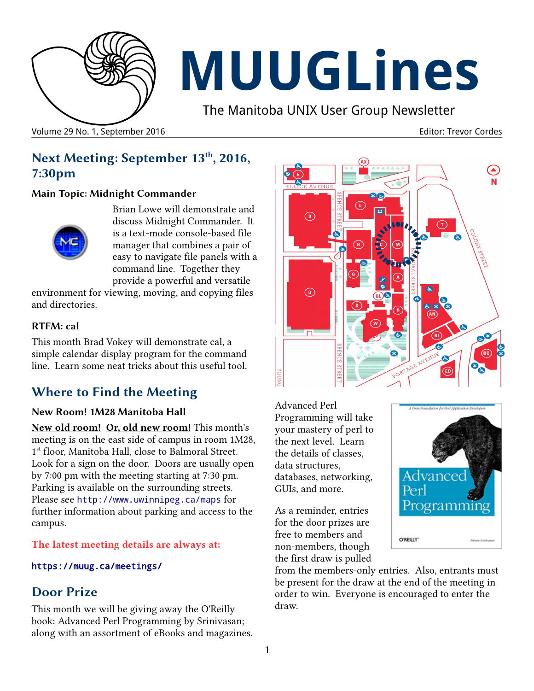

# **MUUGLines**

The Manitoba UNIX User Group Newsletter

Volume 29 No. 1, September 2016 **Editor: Trevor Cordes** Editor: Trevor Cordes Editor: Trevor Cordes

# **Next Meeting: September 13th, 2016, 7:30pm**

#### **Main Topic: Midnight Commander**



Brian Lowe will demonstrate and discuss Midnight Commander. It is a text-mode console-based file manager that combines a pair of easy to navigate file panels with a command line. Together they provide a powerful and versatile

environment for viewing, moving, and copying files and directories.

## **RTFM: cal**

This month Brad Vokey will demonstrate cal, a simple calendar display program for the command line. Learn some neat tricks about this useful tool.

# **Where to Find the Meeting**

## **New Room! 1M28 Manitoba Hall**

**New old room! Or, old new room!** This month's meeting is on the east side of campus in room 1M28, 1 st floor, Manitoba Hall, close to Balmoral Street. Look for a sign on the door. Doors are usually open by 7:00 pm with the meeting starting at 7:30 pm. Parking is available on the surrounding streets. Please see <http://www.uwinnipeg.ca/maps> for further information about parking and access to the campus.

#### **The latest meeting details are always at:**

#### [https://muug.ca/meetings/](https://www.muug.mb.ca/meetings/)

# **Door Prize**

This month we will be giving away the O'Reilly book: Advanced Perl Programming by Srinivasan; along with an assortment of eBooks and magazines.



Advanced Perl Programming will take your mastery of perl to the next level. Learn the details of classes, data structures, databases, networking, GUIs, and more.

As a reminder, entries for the door prizes are free to members and non-members, though the first draw is pulled



from the members-only entries. Also, entrants must be present for the draw at the end of the meeting in order to win. Everyone is encouraged to enter the draw.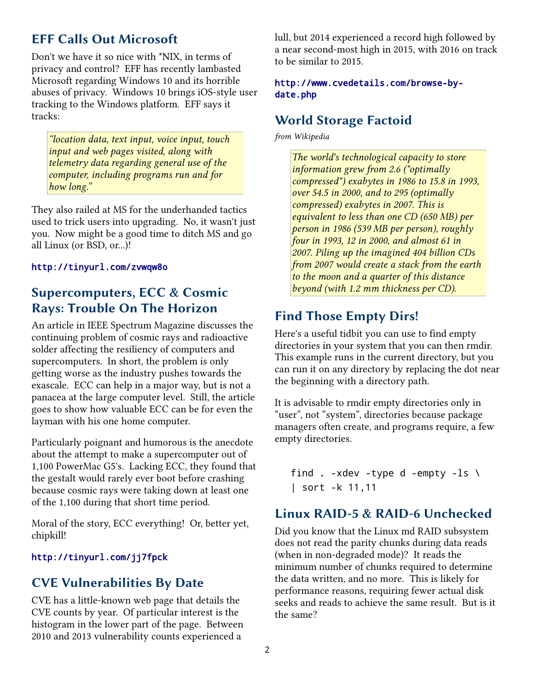## **EFF Calls Out Microsoft**

Don't we have it so nice with \*NIX, in terms of privacy and control? EFF has recently lambasted Microsoft regarding Windows 10 and its horrible abuses of privacy. Windows 10 brings iOS-style user tracking to the Windows platform. EFF says it tracks:

*"location data, text input, voice input, touch input and web pages visited, along with telemetry data regarding general use of the computer, including programs run and for how long."*

They also railed at MS for the underhanded tactics used to trick users into upgrading. No, it wasn't just you. Now might be a good time to ditch MS and go all Linux (or BSD, or...)!

#### http://tinyurl.com/zvwqw8o

## **Supercomputers, ECC & Cosmic Rays: Trouble On The Horizon**

An article in IEEE Spectrum Magazine discusses the continuing problem of cosmic rays and radioactive solder affecting the resiliency of computers and supercomputers. In short, the problem is only getting worse as the industry pushes towards the exascale. ECC can help in a major way, but is not a panacea at the large computer level. Still, the article goes to show how valuable ECC can be for even the layman with his one home computer.

Particularly poignant and humorous is the anecdote about the attempt to make a supercomputer out of 1,100 PowerMac G5's. Lacking ECC, they found that the gestalt would rarely ever boot before crashing because cosmic rays were taking down at least one of the 1,100 during that short time period.

Moral of the story, ECC everything! Or, better yet, chipkill!

#### <http://tinyurl.com/jj7fpck>

## **CVE Vulnerabilities By Date**

CVE has a little-known web page that details the CVE counts by year. Of particular interest is the histogram in the lower part of the page. Between 2010 and 2013 vulnerability counts experienced a

lull, but 2014 experienced a record high followed by a near second-most high in 2015, with 2016 on track to be similar to 2015.

#### [http://www.cvedetails.com/browse-by](http://www.cvedetails.com/browse-by-date.php)[date.php](http://www.cvedetails.com/browse-by-date.php)

## **World Storage Factoid**

*from Wikipedia*

*The world's technological capacity to store information grew from 2.6 ("optimally compressed") exabytes in 1986 to 15.8 in 1993, over 54.5 in 2000, and to 295 (optimally compressed) exabytes in 2007. This is equivalent to less than one CD (650 MB) per person in 1986 (539 MB per person), roughly four in 1993, 12 in 2000, and almost 61 in 2007. Piling up the imagined 404 billion CDs from 2007 would create a stack from the earth to the moon and a quarter of this distance beyond (with 1.2 mm thickness per CD).*

## **Find Those Empty Dirs!**

Here's a useful tidbit you can use to find empty directories in your system that you can then rmdir. This example runs in the current directory, but you can run it on any directory by replacing the dot near the beginning with a directory path.

It is advisable to rmdir empty directories only in "user", not "system", directories because package managers often create, and programs require, a few empty directories.

```
find . -xdev -type d -empty -ls \setminus| sort -k 11,11
```
## **Linux RAID-5 & RAID-6 Unchecked**

Did you know that the Linux md RAID subsystem does not read the parity chunks during data reads (when in non-degraded mode)? It reads the minimum number of chunks required to determine the data written, and no more. This is likely for performance reasons, requiring fewer actual disk seeks and reads to achieve the same result. But is it the same?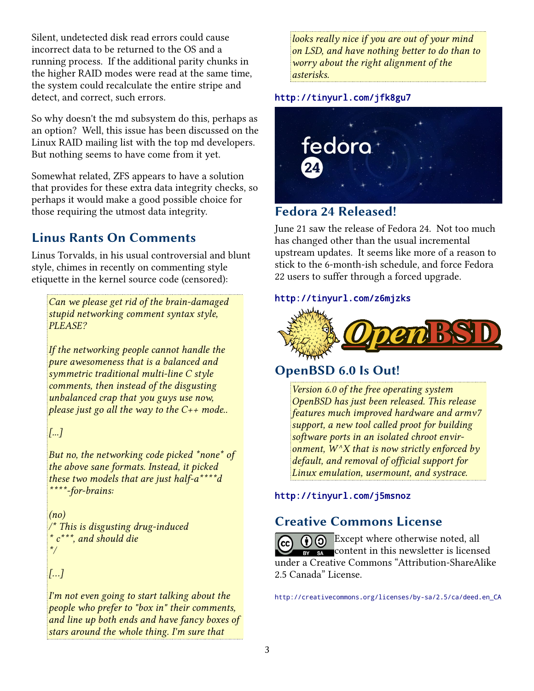Silent, undetected disk read errors could cause incorrect data to be returned to the OS and a running process. If the additional parity chunks in the higher RAID modes were read at the same time, the system could recalculate the entire stripe and detect, and correct, such errors.

So why doesn't the md subsystem do this, perhaps as an option? Well, this issue has been discussed on the Linux RAID mailing list with the top md developers. But nothing seems to have come from it yet.

Somewhat related, ZFS appears to have a solution that provides for these extra data integrity checks, so perhaps it would make a good possible choice for those requiring the utmost data integrity.

# **Linus Rants On Comments**

Linus Torvalds, in his usual controversial and blunt style, chimes in recently on commenting style etiquette in the kernel source code (censored):

*Can we please get rid of the brain-damaged stupid networking comment syntax style, PLEASE?*

*If the networking people cannot handle the pure awesomeness that is a balanced and symmetric traditional multi-line C style comments, then instead of the disgusting unbalanced crap that you guys use now, please just go all the way to the C++ mode..*

*[...]*

*But no, the networking code picked \*none\* of the above sane formats. Instead, it picked these two models that are just half-a\*\*\*\*d \*\*\*\*-for-brains:*

*(no) /\* This is disgusting drug-induced \* c\*\*\*, and should die \*/*

*[…]*

*I'm not even going to start talking about the people who prefer to "box in" their comments, and line up both ends and have fancy boxes of stars around the whole thing. I'm sure that* 

*looks really nice if you are out of your mind on LSD, and have nothing better to do than to worry about the right alignment of the asterisks.*

## http://tinyurl.com/jfk8gu7



## **Fedora 24 Released!**

June 21 saw the release of Fedora 24. Not too much has changed other than the usual incremental upstream updates. It seems like more of a reason to stick to the 6-month-ish schedule, and force Fedora 22 users to suffer through a forced upgrade.

#### http://tinyurl.com/z6mjzks



# **OpenBSD 6.0 Is Out!**

*Version 6.0 of the free operating system OpenBSD has just been released. This release features much improved hardware and armv7 support, a new tool called proot for building software ports in an isolated chroot environment, W^X that is now strictly enforced by default, and removal of official support for Linux emulation, usermount, and systrace.*

## http://tinyurl.com/j5msnoz

# **Creative Commons License**

**CC**  $\odot$  **Except where otherwise noted, all** BY SA content in this newsletter is licensed under a Creative Commons "Attribution-ShareAlike 2.5 Canada" License.

[http://creativecommons.org/licenses/by-sa/2.5/ca/deed.en\\_CA](http://creativecommons.org/licenses/by-sa/2.5/ca/deed.en_CA)